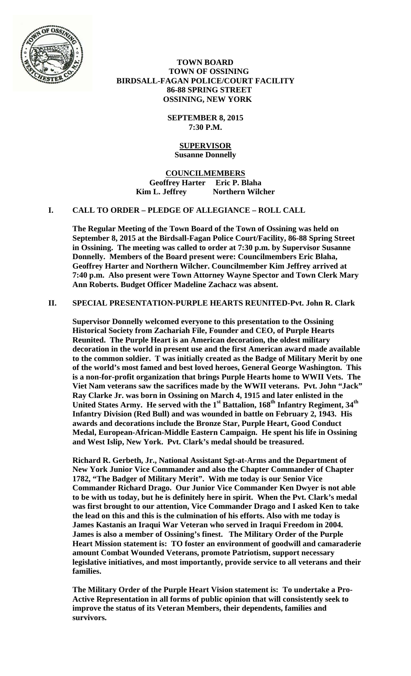

 **TOWN BOARD TOWN OF OSSINING BIRDSALL-FAGAN POLICE/COURT FACILITY 86-88 SPRING STREET OSSINING, NEW YORK** 

> **SEPTEMBER 8, 2015 7:30 P.M.**

#### **SUPERVISOR Susanne Donnelly**

**COUNCILMEMBERS Geoffrey Harter Eric P. Blaha**  Kim L. Jeffrey **Northern Wilcher** 

#### **I. CALL TO ORDER – PLEDGE OF ALLEGIANCE – ROLL CALL**

**The Regular Meeting of the Town Board of the Town of Ossining was held on September 8, 2015 at the Birdsall-Fagan Police Court/Facility, 86-88 Spring Street in Ossining. The meeting was called to order at 7:30 p.m. by Supervisor Susanne Donnelly. Members of the Board present were: Councilmembers Eric Blaha, Geoffrey Harter and Northern Wilcher. Councilmember Kim Jeffrey arrived at 7:40 p.m. Also present were Town Attorney Wayne Spector and Town Clerk Mary Ann Roberts. Budget Officer Madeline Zachacz was absent.** 

### **II. SPECIAL PRESENTATION-PURPLE HEARTS REUNITED-Pvt. John R. Clark**

**Supervisor Donnelly welcomed everyone to this presentation to the Ossining Historical Society from Zachariah File, Founder and CEO, of Purple Hearts Reunited. The Purple Heart is an American decoration, the oldest military decoration in the world in present use and the first American award made available to the common soldier. T was initially created as the Badge of Military Merit by one of the world's most famed and best loved heroes, General George Washington. This is a non-for-profit organization that brings Purple Hearts home to WWII Vets. The Viet Nam veterans saw the sacrifices made by the WWII veterans. Pvt. John "Jack" Ray Clarke Jr. was born in Ossining on March 4, 1915 and later enlisted in the**  United States Army. He served with the 1<sup>st</sup> Battalion, 168<sup>th</sup> Infantry Regiment, 34<sup>th</sup> **Infantry Division (Red Bull) and was wounded in battle on February 2, 1943. His awards and decorations include the Bronze Star, Purple Heart, Good Conduct Medal, European-African-Middle Eastern Campaign. He spent his life in Ossining and West Islip, New York. Pvt. Clark's medal should be treasured.** 

**Richard R. Gerbeth, Jr., National Assistant Sgt-at-Arms and the Department of New York Junior Vice Commander and also the Chapter Commander of Chapter 1782, "The Badger of Military Merit". With me today is our Senior Vice Commander Richard Drago. Our Junior Vice Commander Ken Dwyer is not able to be with us today, but he is definitely here in spirit. When the Pvt. Clark's medal was first brought to our attention, Vice Commander Drago and I asked Ken to take the lead on this and this is the culmination of his efforts. Also with me today is James Kastanis an Iraqui War Veteran who served in Iraqui Freedom in 2004. James is also a member of Ossining's finest. The Military Order of the Purple Heart Mission statement is: TO foster an environment of goodwill and camaraderie amount Combat Wounded Veterans, promote Patriotism, support necessary legislative initiatives, and most importantly, provide service to all veterans and their families.** 

**The Military Order of the Purple Heart Vision statement is: To undertake a Pro-Active Representation in all forms of public opinion that will consistently seek to improve the status of its Veteran Members, their dependents, families and survivors.**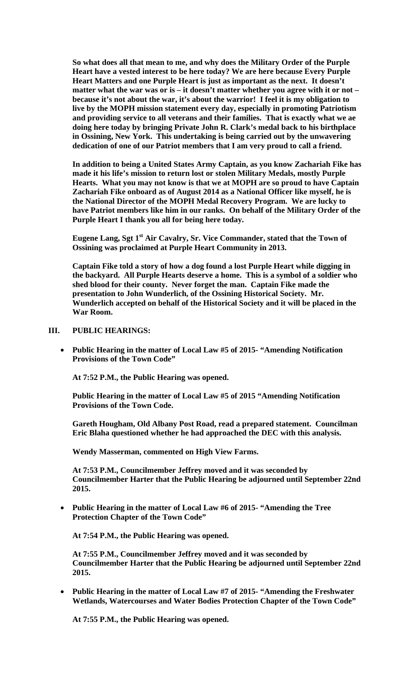**So what does all that mean to me, and why does the Military Order of the Purple Heart have a vested interest to be here today? We are here because Every Purple Heart Matters and one Purple Heart is just as important as the next. It doesn't matter what the war was or is – it doesn't matter whether you agree with it or not – because it's not about the war, it's about the warrior! I feel it is my obligation to live by the MOPH mission statement every day, especially in promoting Patriotism and providing service to all veterans and their families. That is exactly what we ae doing here today by bringing Private John R. Clark's medal back to his birthplace in Ossining, New York. This undertaking is being carried out by the unwavering dedication of one of our Patriot members that I am very proud to call a friend.** 

**In addition to being a United States Army Captain, as you know Zachariah Fike has made it his life's mission to return lost or stolen Military Medals, mostly Purple Hearts. What you may not know is that we at MOPH are so proud to have Captain Zachariah Fike onboard as of August 2014 as a National Officer like myself, he is the National Director of the MOPH Medal Recovery Program. We are lucky to have Patriot members like him in our ranks. On behalf of the Military Order of the Purple Heart I thank you all for being here today.** 

Eugene Lang, Sgt 1<sup>st</sup> Air Cavalry, Sr. Vice Commander, stated that the Town of **Ossining was proclaimed at Purple Heart Community in 2013.** 

**Captain Fike told a story of how a dog found a lost Purple Heart while digging in the backyard. All Purple Hearts deserve a home. This is a symbol of a soldier who shed blood for their county. Never forget the man. Captain Fike made the presentation to John Wunderlich, of the Ossining Historical Society. Mr. Wunderlich accepted on behalf of the Historical Society and it will be placed in the War Room.**

### **III. PUBLIC HEARINGS:**

 **Public Hearing in the matter of Local Law #5 of 2015- "Amending Notification Provisions of the Town Code"** 

**At 7:52 P.M., the Public Hearing was opened.** 

**Public Hearing in the matter of Local Law #5 of 2015 "Amending Notification Provisions of the Town Code.** 

**Gareth Hougham, Old Albany Post Road, read a prepared statement. Councilman Eric Blaha questioned whether he had approached the DEC with this analysis.** 

**Wendy Masserman, commented on High View Farms.** 

**At 7:53 P.M., Councilmember Jeffrey moved and it was seconded by Councilmember Harter that the Public Hearing be adjourned until September 22nd 2015.**

 **Public Hearing in the matter of Local Law #6 of 2015- "Amending the Tree Protection Chapter of the Town Code"** 

**At 7:54 P.M., the Public Hearing was opened.** 

**At 7:55 P.M., Councilmember Jeffrey moved and it was seconded by Councilmember Harter that the Public Hearing be adjourned until September 22nd 2015.**

 **Public Hearing in the matter of Local Law #7 of 2015- "Amending the Freshwater Wetlands, Watercourses and Water Bodies Protection Chapter of the Town Code"** 

**At 7:55 P.M., the Public Hearing was opened.**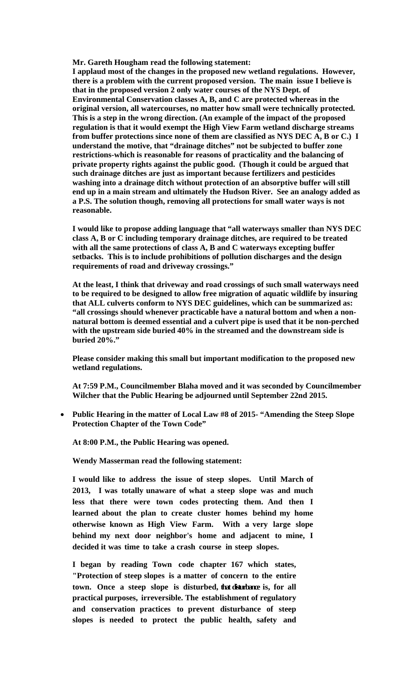**Mr. Gareth Hougham read the following statement:** 

**I applaud most of the changes in the proposed new wetland regulations. However, there is a problem with the current proposed version. The main issue I believe is that in the proposed version 2 only water courses of the NYS Dept. of Environmental Conservation classes A, B, and C are protected whereas in the original version, all watercourses, no matter how small were technically protected. This is a step in the wrong direction. (An example of the impact of the proposed regulation is that it would exempt the High View Farm wetland discharge streams from buffer protections since none of them are classified as NYS DEC A, B or C.) I understand the motive, that "drainage ditches" not be subjected to buffer zone restrictions-which is reasonable for reasons of practicality and the balancing of private property rights against the public good. (Though it could be argued that such drainage ditches are just as important because fertilizers and pesticides washing into a drainage ditch without protection of an absorptive buffer will still end up in a main stream and ultimately the Hudson River. See an analogy added as a P.S. The solution though, removing all protections for small water ways is not reasonable.** 

**I would like to propose adding language that "all waterways smaller than NYS DEC class A, B or C including temporary drainage ditches, are required to be treated with all the same protections of class A, B and C waterways excepting buffer setbacks. This is to include prohibitions of pollution discharges and the design requirements of road and driveway crossings."** 

**At the least, I think that driveway and road crossings of such small waterways need to be required to be designed to allow free migration of aquatic wildlife by insuring that ALL culverts conform to NYS DEC guidelines, which can be summarized as: "all crossings should whenever practicable have a natural bottom and when a nonnatural bottom is deemed essential and a culvert pipe is used that it be non-perched with the upstream side buried 40% in the streamed and the downstream side is buried 20%."** 

**Please consider making this small but important modification to the proposed new wetland regulations.** 

**At 7:59 P.M., Councilmember Blaha moved and it was seconded by Councilmember Wilcher that the Public Hearing be adjourned until September 22nd 2015.**

 **Public Hearing in the matter of Local Law #8 of 2015- "Amending the Steep Slope Protection Chapter of the Town Code"** 

**At 8:00 P.M., the Public Hearing was opened.** 

**Wendy Masserman read the following statement:** 

**I would like to address the issue of steep slopes. Until March of 2013, I was totally unaware of what a steep slope was and much less that there were town codes protecting them. And then I learned about the plan to create cluster homes behind my home otherwise known as High View Farm. With a very large slope behind my next door neighbor's home and adjacent to mine, I decided it was time to take a crash course in steep slopes.** 

**I began by reading Town code chapter 167 which states, "Protection of steep slopes is a matter of concern to the entire town. Once a steep slope is disturbed, that disturbance is, for all practical purposes, irreversible. The establishment of regulatory and conservation practices to prevent disturbance of steep slopes is needed to protect the public health, safety and**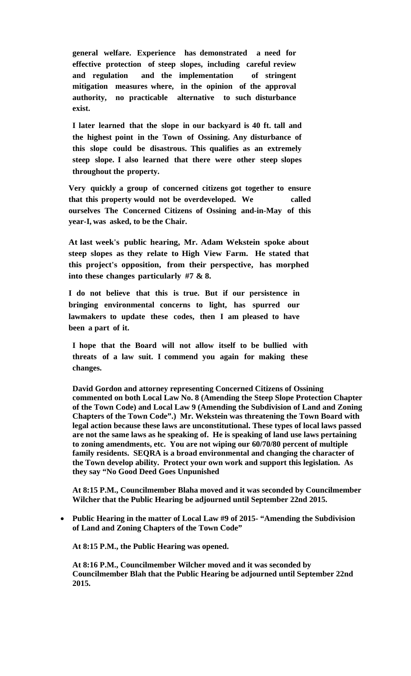**general welfare. Experience has demonstrated a need for effective protection of steep slopes, including careful review and regulation and the implementation of stringent mitigation measures where, in the opinion of the approval authority, no practicable alternative to such disturbance exist.** 

**I later learned that the slope in our backyard is 40 ft. tall and the highest point in the Town of Ossining. Any disturbance of this slope could be disastrous. This qualifies as an extremely steep slope. I also learned that there were other steep slopes throughout the property.** 

**Very quickly a group of concerned citizens got together to ensure that this property would not be overdeveloped. We called ourselves The Concerned Citizens of Ossining and-in-May of this year-I, was asked, to be the Chair.** 

**At last week's public hearing, Mr. Adam Wekstein spoke about steep slopes as they relate to High View Farm. He stated that this project's opposition, from their perspective, has morphed into these changes particularly #7 & 8.**

**I do not believe that this is true. But if our persistence in bringing environmental concerns to light, has spurred our lawmakers to update these codes, then I am pleased to have been a part of it.** 

**I hope that the Board will not allow itself to be bullied with threats of a law suit. I commend you again for making these changes.** 

**David Gordon and attorney representing Concerned Citizens of Ossining commented on both Local Law No. 8 (Amending the Steep Slope Protection Chapter of the Town Code) and Local Law 9 (Amending the Subdivision of Land and Zoning Chapters of the Town Code".) Mr. Wekstein was threatening the Town Board with legal action because these laws are unconstitutional. These types of local laws passed are not the same laws as he speaking of. He is speaking of land use laws pertaining to zoning amendments, etc. You are not wiping our 60/70/80 percent of multiple family residents. SEQRA is a broad environmental and changing the character of the Town develop ability. Protect your own work and support this legislation. As they say "No Good Deed Goes Unpunished** 

**At 8:15 P.M., Councilmember Blaha moved and it was seconded by Councilmember Wilcher that the Public Hearing be adjourned until September 22nd 2015.**

 **Public Hearing in the matter of Local Law #9 of 2015- "Amending the Subdivision of Land and Zoning Chapters of the Town Code"** 

**At 8:15 P.M., the Public Hearing was opened.** 

**At 8:16 P.M., Councilmember Wilcher moved and it was seconded by Councilmember Blah that the Public Hearing be adjourned until September 22nd 2015.**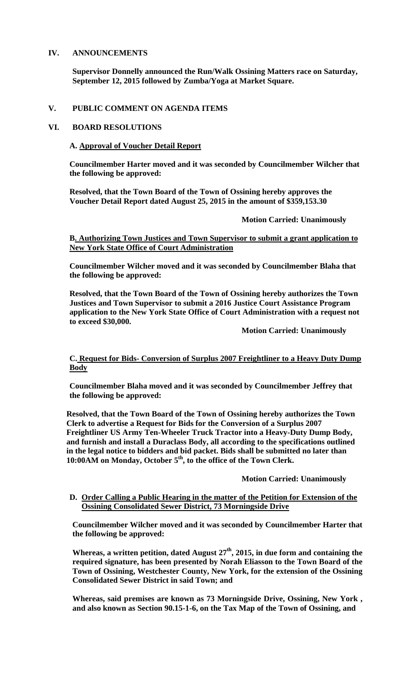## **IV. ANNOUNCEMENTS**

**Supervisor Donnelly announced the Run/Walk Ossining Matters race on Saturday, September 12, 2015 followed by Zumba/Yoga at Market Square.**

#### **V. PUBLIC COMMENT ON AGENDA ITEMS**

### **VI. BOARD RESOLUTIONS**

### **A. Approval of Voucher Detail Report**

**Councilmember Harter moved and it was seconded by Councilmember Wilcher that the following be approved:** 

**Resolved, that the Town Board of the Town of Ossining hereby approves the Voucher Detail Report dated August 25, 2015 in the amount of \$359,153.30** 

 **Motion Carried: Unanimously** 

### **B. Authorizing Town Justices and Town Supervisor to submit a grant application to New York State Office of Court Administration**

**Councilmember Wilcher moved and it was seconded by Councilmember Blaha that the following be approved:** 

**Resolved, that the Town Board of the Town of Ossining hereby authorizes the Town Justices and Town Supervisor to submit a 2016 Justice Court Assistance Program application to the New York State Office of Court Administration with a request not to exceed \$30,000.** 

 **Motion Carried: Unanimously** 

### **C. Request for Bids- Conversion of Surplus 2007 Freightliner to a Heavy Duty Dump Body**

**Councilmember Blaha moved and it was seconded by Councilmember Jeffrey that the following be approved:** 

**Resolved, that the Town Board of the Town of Ossining hereby authorizes the Town Clerk to advertise a Request for Bids for the Conversion of a Surplus 2007 Freightliner US Army Ten-Wheeler Truck Tractor into a Heavy-Duty Dump Body, and furnish and install a Duraclass Body, all according to the specifications outlined in the legal notice to bidders and bid packet. Bids shall be submitted no later than 10:00AM on Monday, October 5th, to the office of the Town Clerk.** 

## **Motion Carried: Unanimously**

### **D. Order Calling a Public Hearing in the matter of the Petition for Extension of the Ossining Consolidated Sewer District, 73 Morningside Drive**

**Councilmember Wilcher moved and it was seconded by Councilmember Harter that the following be approved:** 

**Whereas, a written petition, dated August 27th, 2015, in due form and containing the required signature, has been presented by Norah Eliasson to the Town Board of the Town of Ossining, Westchester County, New York, for the extension of the Ossining Consolidated Sewer District in said Town; and** 

**Whereas, said premises are known as 73 Morningside Drive, Ossining, New York , and also known as Section 90.15-1-6, on the Tax Map of the Town of Ossining, and**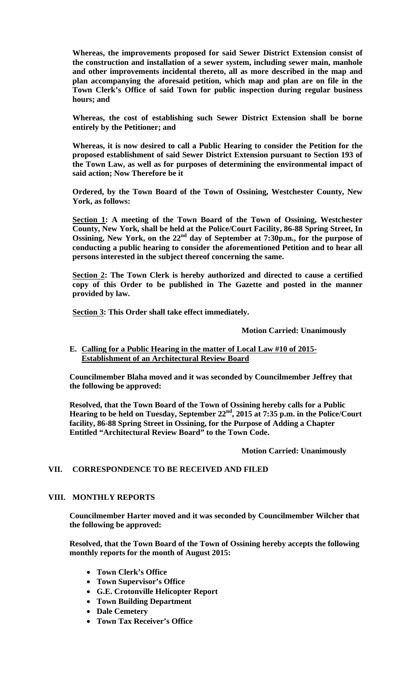**Whereas, the improvements proposed for said Sewer District Extension consist of the construction and installation of a sewer system, including sewer main, manhole and other improvements incidental thereto, all as more described in the map and plan accompanying the aforesaid petition, which map and plan are on file in the Town Clerk's Office of said Town for public inspection during regular business hours; and**

**Whereas, the cost of establishing such Sewer District Extension shall be borne entirely by the Petitioner; and**

**Whereas, it is now desired to call a Public Hearing to consider the Petition for the proposed establishment of said Sewer District Extension pursuant to Section 193 of the Town Law, as well as for purposes of determining the environmental impact of said action; Now Therefore be it**

**Ordered, by the Town Board of the Town of Ossining, Westchester County, New York, as follows:**

**Section 1: A meeting of the Town Board of the Town of Ossining, Westchester County, New York, shall be held at the Police/Court Facility, 86-88 Spring Street, In Ossining, New York, on the 22nd day of September at 7:30p.m., for the purpose of conducting a public hearing to consider the aforementioned Petition and to hear all persons interested in the subject thereof concerning the same.**

**Section 2: The Town Clerk is hereby authorized and directed to cause a certified copy of this Order to be published in The Gazette and posted in the manner provided by law.**

**Section 3: This Order shall take effect immediately.** 

#### **Motion Carried: Unanimously**

### **E. Calling for a Public Hearing in the matter of Local Law #10 of 2015- Establishment of an Architectural Review Board**

**Councilmember Blaha moved and it was seconded by Councilmember Jeffrey that the following be approved:** 

**Resolved, that the Town Board of the Town of Ossining hereby calls for a Public Hearing to be held on Tuesday, September 22nd, 2015 at 7:35 p.m. in the Police/Court facility, 86-88 Spring Street in Ossining, for the Purpose of Adding a Chapter Entitled "Architectural Review Board" to the Town Code.** 

 **Motion Carried: Unanimously** 

## **VII. CORRESPONDENCE TO BE RECEIVED AND FILED**

#### **VIII. MONTHLY REPORTS**

**Councilmember Harter moved and it was seconded by Councilmember Wilcher that the following be approved:** 

**Resolved, that the Town Board of the Town of Ossining hereby accepts the following monthly reports for the month of August 2015:** 

- **Town Clerk's Office**
- **Town Supervisor's Office**
- **G.E. Crotonville Helicopter Report**
- **Town Building Department**
- **Dale Cemetery**
- **Town Tax Receiver's Office**